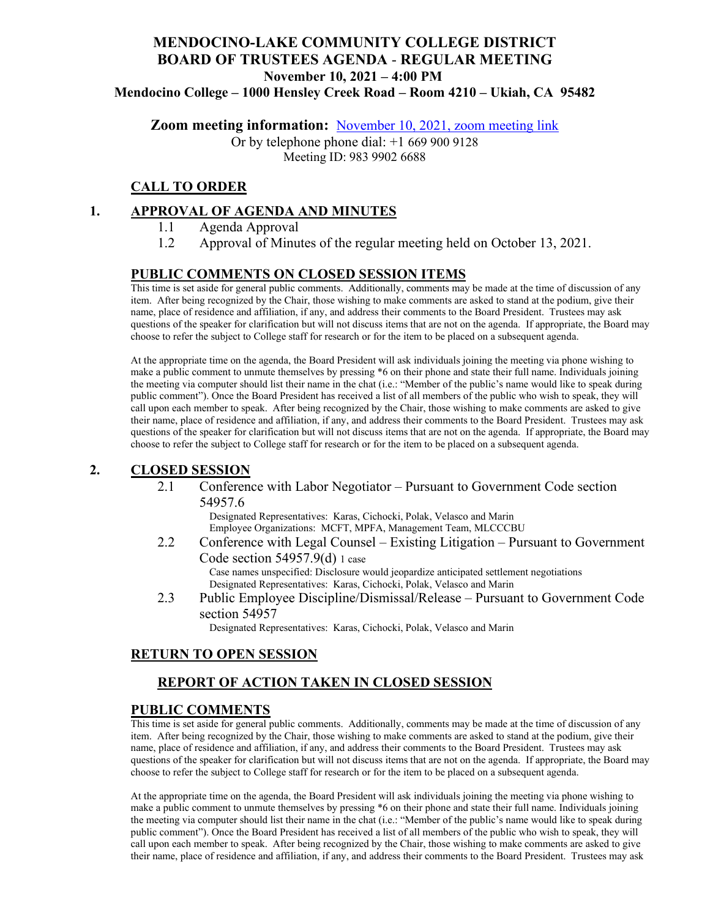# **MENDOCINO-LAKE COMMUNITY COLLEGE DISTRICT BOARD OF TRUSTEES AGENDA** - **REGULAR MEETING November 10, 2021 – 4:00 PM**

**Mendocino College – 1000 Hensley Creek Road – Room 4210 – Ukiah, CA 95482**

**Zoom meeting information:** November 10, 2021, [zoom meeting link](https://mendocino-edu.zoom.us/j/98399026688)

Or by telephone phone dial: +1 669 900 9128 Meeting ID: 983 9902 6688

### **CALL TO ORDER**

### **1. APPROVAL OF AGENDA AND MINUTES**

- 1.1 Agenda Approval
- 1.2 Approval of Minutes of the regular meeting held on October 13, 2021.

### **PUBLIC COMMENTS ON CLOSED SESSION ITEMS**

This time is set aside for general public comments. Additionally, comments may be made at the time of discussion of any item. After being recognized by the Chair, those wishing to make comments are asked to stand at the podium, give their name, place of residence and affiliation, if any, and address their comments to the Board President. Trustees may ask questions of the speaker for clarification but will not discuss items that are not on the agenda. If appropriate, the Board may choose to refer the subject to College staff for research or for the item to be placed on a subsequent agenda.

At the appropriate time on the agenda, the Board President will ask individuals joining the meeting via phone wishing to make a public comment to unmute themselves by pressing \*6 on their phone and state their full name. Individuals joining the meeting via computer should list their name in the chat (i.e.: "Member of the public's name would like to speak during public comment"). Once the Board President has received a list of all members of the public who wish to speak, they will call upon each member to speak. After being recognized by the Chair, those wishing to make comments are asked to give their name, place of residence and affiliation, if any, and address their comments to the Board President. Trustees may ask questions of the speaker for clarification but will not discuss items that are not on the agenda. If appropriate, the Board may choose to refer the subject to College staff for research or for the item to be placed on a subsequent agenda.

### **2. CLOSED SESSION**

2.1 Conference with Labor Negotiator – Pursuant to Government Code section 54957.6

> Designated Representatives: Karas, Cichocki, Polak, Velasco and Marin Employee Organizations: MCFT, MPFA, Management Team, MLCCCBU

- 2.2 Conference with Legal Counsel Existing Litigation Pursuant to Government Code section 54957.9(d) 1 case Case names unspecified: Disclosure would jeopardize anticipated settlement negotiations Designated Representatives: Karas, Cichocki, Polak, Velasco and Marin
- 2.3 Public Employee Discipline/Dismissal/Release Pursuant to Government Code section 54957

Designated Representatives: Karas, Cichocki, Polak, Velasco and Marin

### **RETURN TO OPEN SESSION**

### **REPORT OF ACTION TAKEN IN CLOSED SESSION**

#### **PUBLIC COMMENTS**

This time is set aside for general public comments. Additionally, comments may be made at the time of discussion of any item. After being recognized by the Chair, those wishing to make comments are asked to stand at the podium, give their name, place of residence and affiliation, if any, and address their comments to the Board President. Trustees may ask questions of the speaker for clarification but will not discuss items that are not on the agenda. If appropriate, the Board may choose to refer the subject to College staff for research or for the item to be placed on a subsequent agenda.

At the appropriate time on the agenda, the Board President will ask individuals joining the meeting via phone wishing to make a public comment to unmute themselves by pressing \*6 on their phone and state their full name. Individuals joining the meeting via computer should list their name in the chat (i.e.: "Member of the public's name would like to speak during public comment"). Once the Board President has received a list of all members of the public who wish to speak, they will call upon each member to speak. After being recognized by the Chair, those wishing to make comments are asked to give their name, place of residence and affiliation, if any, and address their comments to the Board President. Trustees may ask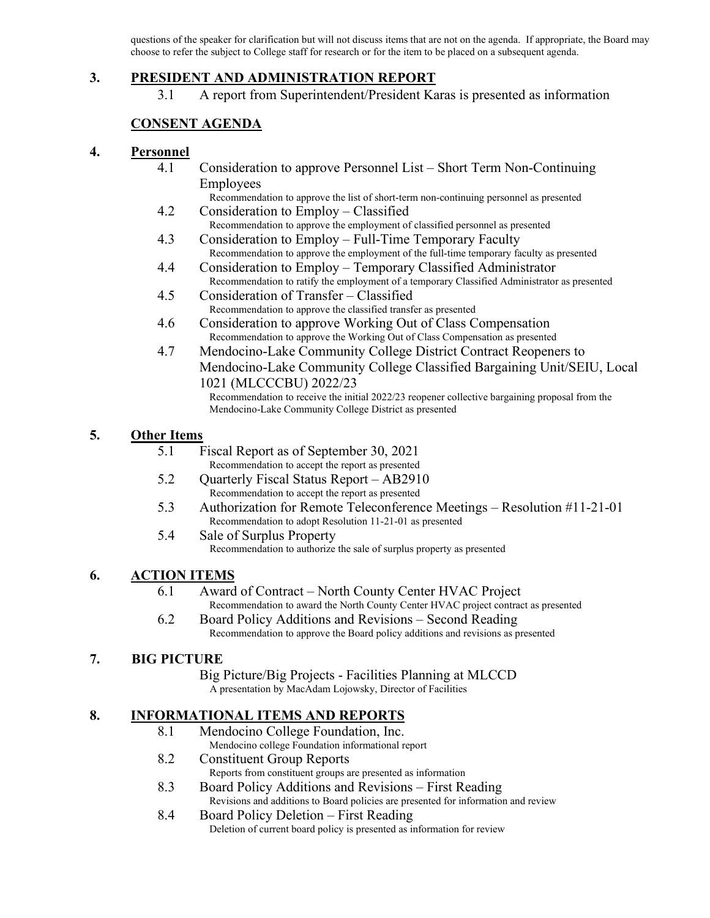questions of the speaker for clarification but will not discuss items that are not on the agenda. If appropriate, the Board may choose to refer the subject to College staff for research or for the item to be placed on a subsequent agenda.

### **3. PRESIDENT AND ADMINISTRATION REPORT**

3.1 A report from Superintendent/President Karas is presented as information

## **CONSENT AGENDA**

### **4. Personnel**

- 4.1 Consideration to approve Personnel List Short Term Non-Continuing Employees
- Recommendation to approve the list of short-term non-continuing personnel as presented 4.2 Consideration to Employ – Classified
- Recommendation to approve the employment of classified personnel as presented 4.3 Consideration to Employ – Full-Time Temporary Faculty
- Recommendation to approve the employment of the full-time temporary faculty as presented
- 4.4 Consideration to Employ Temporary Classified Administrator Recommendation to ratify the employment of a temporary Classified Administrator as presented
- 4.5 Consideration of Transfer Classified Recommendation to approve the classified transfer as presented
- 4.6 Consideration to approve Working Out of Class Compensation Recommendation to approve the Working Out of Class Compensation as presented
- 4.7 Mendocino-Lake Community College District Contract Reopeners to Mendocino-Lake Community College Classified Bargaining Unit/SEIU, Local 1021 (MLCCCBU) 2022/23

Recommendation to receive the initial 2022/23 reopener collective bargaining proposal from the Mendocino-Lake Community College District as presented

### **5. Other Items**

- 5.1 Fiscal Report as of September 30, 2021 Recommendation to accept the report as presented
- 5.2 Quarterly Fiscal Status Report AB2910 Recommendation to accept the report as presented
- 5.3 Authorization for Remote Teleconference Meetings Resolution #11-21-01 Recommendation to adopt Resolution 11-21-01 as presented
- 5.4 Sale of Surplus Property Recommendation to authorize the sale of surplus property as presented

### **6. ACTION ITEMS**

- 6.1 Award of Contract North County Center HVAC Project Recommendation to award the North County Center HVAC project contract as presented
- 6.2 Board Policy Additions and Revisions Second Reading Recommendation to approve the Board policy additions and revisions as presented

### **7. BIG PICTURE**

Big Picture/Big Projects - Facilities Planning at MLCCD A presentation by MacAdam Lojowsky, Director of Facilities

### **8. INFORMATIONAL ITEMS AND REPORTS**

- 8.1 Mendocino College Foundation, Inc.
	- Mendocino college Foundation informational report
- 8.2 Constituent Group Reports
- Reports from constituent groups are presented as information 8.3 Board Policy Additions and Revisions – First Reading
- Revisions and additions to Board policies are presented for information and review
- 8.4 Board Policy Deletion First Reading Deletion of current board policy is presented as information for review